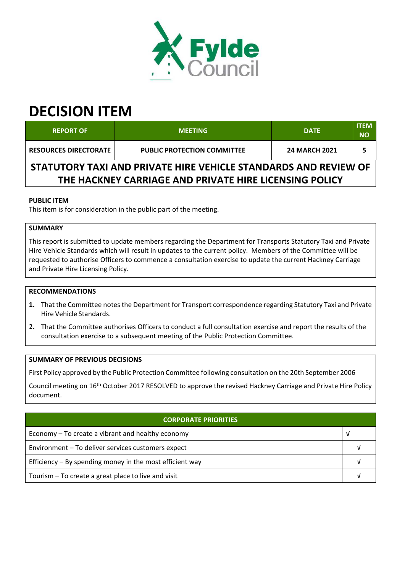

# **DECISION ITEM**

| <b>REPORT OF</b>                                                                                                          | <b>MEETING</b>                     | <b>DATE</b>          | <b>ITEM</b><br><b>NO</b> |  |  |
|---------------------------------------------------------------------------------------------------------------------------|------------------------------------|----------------------|--------------------------|--|--|
| <b>RESOURCES DIRECTORATE</b>                                                                                              | <b>PUBLIC PROTECTION COMMITTEE</b> | <b>24 MARCH 2021</b> |                          |  |  |
| STATUTORY TAXI AND PRIVATE HIRE VEHICLE STANDARDS AND REVIEW OF<br>THE HACKNEY CARRIAGE AND PRIVATE HIRE LICENSING POLICY |                                    |                      |                          |  |  |

### **PUBLIC ITEM**

This item is for consideration in the public part of the meeting.

## **SUMMARY**

This report is submitted to update members regarding the Department for Transports Statutory Taxi and Private Hire Vehicle Standards which will result in updates to the current policy. Members of the Committee will be requested to authorise Officers to commence a consultation exercise to update the current Hackney Carriage and Private Hire Licensing Policy.

#### **RECOMMENDATIONS**

- 1. That the Committee notes the Department for Transport correspondence regarding Statutory Taxi and Private Hire Vehicle Standards.
- **2.** That the Committee authorises Officers to conduct a full consultation exercise and report the results of the consultation exercise to a subsequent meeting of the Public Protection Committee.

#### **SUMMARY OF PREVIOUS DECISIONS**

First Policy approved by the Public Protection Committee following consultation on the 20th September 2006

Council meeting on 16<sup>th</sup> October 2017 RESOLVED to approve the revised Hackney Carriage and Private Hire Policy document.

| <b>CORPORATE PRIORITIES</b>                                |  |  |
|------------------------------------------------------------|--|--|
| Economy – To create a vibrant and healthy economy          |  |  |
| Environment - To deliver services customers expect         |  |  |
| Efficiency $-$ By spending money in the most efficient way |  |  |
| Tourism – To create a great place to live and visit        |  |  |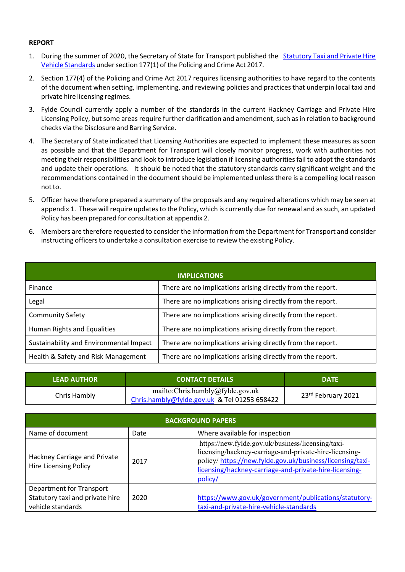#### **REPORT**

- 1. During the summer of 2020, the Secretary of State for Transport published the Statutory Taxi and Private Hire Vehicle Standards under section 177(1) of the Policing and Crime Act 2017.
- 2. Section 177(4) of the Policing and Crime Act 2017 requires licensing authorities to have regard to the contents of the document when setting, implementing, and reviewing policies and practices that underpin local taxi and private hire licensing regimes.
- 3. Fylde Council currently apply a number of the standards in the current Hackney Carriage and Private Hire Licensing Policy, but some areas require further clarification and amendment, such as in relation to background checks via the Disclosure and Barring Service.
- 4. The Secretary of State indicated that Licensing Authorities are expected to implement these measures as soon as possible and that the Department for Transport will closely monitor progress, work with authorities not meeting their responsibilities and look to introduce legislation if licensing authoritiesfail to adopt the standards and update their operations. It should be noted that the statutory standards carry significant weight and the recommendations contained in the document should be implemented unless there is a compelling local reason not to.
- 5. Officer have therefore prepared a summary of the proposals and any required alterations which may be seen at appendix 1. These will require updates to the Policy, which is currently due for renewal and as such, an updated Policy has been prepared for consultation at appendix 2.
- 6. Members are therefore requested to consider the information from the Department for Transport and consider instructing officersto undertake a consultation exercise to review the existing Policy.

| <b>IMPLICATIONS</b>                     |                                                             |  |  |  |
|-----------------------------------------|-------------------------------------------------------------|--|--|--|
| Finance                                 | There are no implications arising directly from the report. |  |  |  |
| Legal                                   | There are no implications arising directly from the report. |  |  |  |
| <b>Community Safety</b>                 | There are no implications arising directly from the report. |  |  |  |
| Human Rights and Equalities             | There are no implications arising directly from the report. |  |  |  |
| Sustainability and Environmental Impact | There are no implications arising directly from the report. |  |  |  |
| Health & Safety and Risk Management     | There are no implications arising directly from the report. |  |  |  |

| <b>LEAD AUTHOR</b> | <b>CONTACT DETAILS</b>                                                           |                    |
|--------------------|----------------------------------------------------------------------------------|--------------------|
| Chris Hambly       | mailto:Chris.hambly@fylde.gov.uk<br>Chris.hambly@fylde.gov.uk & Tel 01253 658422 | 23rd February 2021 |

| <b>BACKGROUND PAPERS</b>                                                         |      |                                                                                                                                                                                                                                              |  |  |
|----------------------------------------------------------------------------------|------|----------------------------------------------------------------------------------------------------------------------------------------------------------------------------------------------------------------------------------------------|--|--|
| Name of document                                                                 | Date | Where available for inspection                                                                                                                                                                                                               |  |  |
| Hackney Carriage and Private<br><b>Hire Licensing Policy</b>                     | 2017 | https://new.fylde.gov.uk/business/licensing/taxi-<br>licensing/hackney-carriage-and-private-hire-licensing-<br>policy/https://new.fylde.gov.uk/business/licensing/taxi-<br>licensing/hackney-carriage-and-private-hire-licensing-<br>policy/ |  |  |
| Department for Transport<br>Statutory taxi and private hire<br>vehicle standards | 2020 | https://www.gov.uk/government/publications/statutory-<br>taxi-and-private-hire-vehicle-standards                                                                                                                                             |  |  |